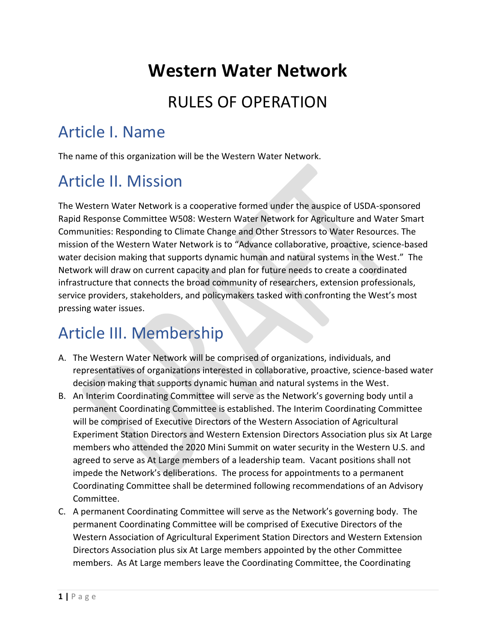## **Western Water Network**

#### RULES OF OPERATION

### Article I. Name

The name of this organization will be the Western Water Network.

## Article II. Mission

The Western Water Network is a cooperative formed under the auspice of USDA-sponsored Rapid Response Committee W508: Western Water Network for Agriculture and Water Smart Communities: Responding to Climate Change and Other Stressors to Water Resources. The mission of the Western Water Network is to "Advance collaborative, proactive, science-based water decision making that supports dynamic human and natural systems in the West." The Network will draw on current capacity and plan for future needs to create a coordinated infrastructure that connects the broad community of researchers, extension professionals, service providers, stakeholders, and policymakers tasked with confronting the West's most pressing water issues.

#### Article III. Membership

- A. The Western Water Network will be comprised of organizations, individuals, and representatives of organizations interested in collaborative, proactive, science-based water decision making that supports dynamic human and natural systems in the West.
- B. An Interim Coordinating Committee will serve as the Network's governing body until a permanent Coordinating Committee is established. The Interim Coordinating Committee will be comprised of Executive Directors of the Western Association of Agricultural Experiment Station Directors and Western Extension Directors Association plus six At Large members who attended the 2020 Mini Summit on water security in the Western U.S. and agreed to serve as At Large members of a leadership team. Vacant positions shall not impede the Network's deliberations. The process for appointments to a permanent Coordinating Committee shall be determined following recommendations of an Advisory Committee.
- C. A permanent Coordinating Committee will serve as the Network's governing body. The permanent Coordinating Committee will be comprised of Executive Directors of the Western Association of Agricultural Experiment Station Directors and Western Extension Directors Association plus six At Large members appointed by the other Committee members. As At Large members leave the Coordinating Committee, the Coordinating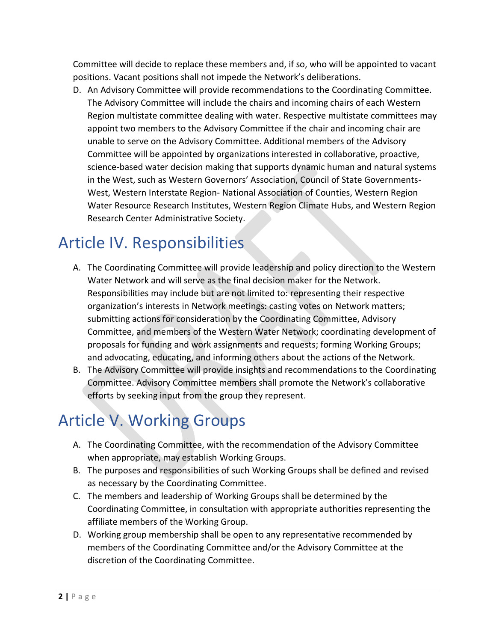Committee will decide to replace these members and, if so, who will be appointed to vacant positions. Vacant positions shall not impede the Network's deliberations.

D. An Advisory Committee will provide recommendations to the Coordinating Committee. The Advisory Committee will include the chairs and incoming chairs of each Western Region multistate committee dealing with water. Respective multistate committees may appoint two members to the Advisory Committee if the chair and incoming chair are unable to serve on the Advisory Committee. Additional members of the Advisory Committee will be appointed by organizations interested in collaborative, proactive, science-based water decision making that supports dynamic human and natural systems in the West, such as Western Governors' Association, Council of State Governments-West, Western Interstate Region- National Association of Counties, Western Region Water Resource Research Institutes, Western Region Climate Hubs, and Western Region Research Center Administrative Society.

## Article IV. Responsibilities

- A. The Coordinating Committee will provide leadership and policy direction to the Western Water Network and will serve as the final decision maker for the Network. Responsibilities may include but are not limited to: representing their respective organization's interests in Network meetings: casting votes on Network matters; submitting actions for consideration by the Coordinating Committee, Advisory Committee, and members of the Western Water Network; coordinating development of proposals for funding and work assignments and requests; forming Working Groups; and advocating, educating, and informing others about the actions of the Network.
- B. The Advisory Committee will provide insights and recommendations to the Coordinating Committee. Advisory Committee members shall promote the Network's collaborative efforts by seeking input from the group they represent.

## Article V. Working Groups

- A. The Coordinating Committee, with the recommendation of the Advisory Committee when appropriate, may establish Working Groups.
- B. The purposes and responsibilities of such Working Groups shall be defined and revised as necessary by the Coordinating Committee.
- C. The members and leadership of Working Groups shall be determined by the Coordinating Committee, in consultation with appropriate authorities representing the affiliate members of the Working Group.
- D. Working group membership shall be open to any representative recommended by members of the Coordinating Committee and/or the Advisory Committee at the discretion of the Coordinating Committee.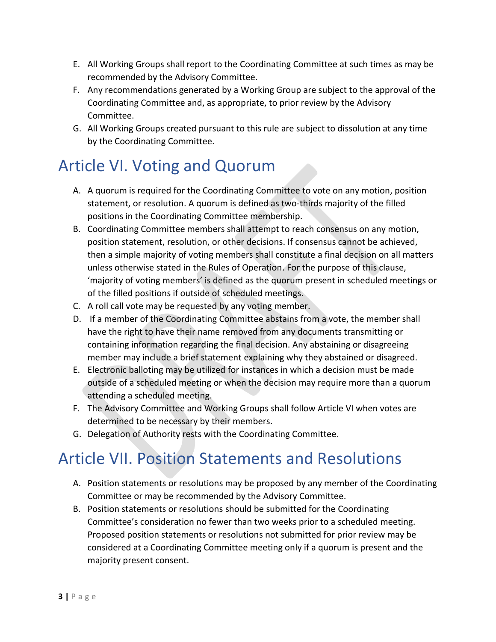- E. All Working Groups shall report to the Coordinating Committee at such times as may be recommended by the Advisory Committee.
- F. Any recommendations generated by a Working Group are subject to the approval of the Coordinating Committee and, as appropriate, to prior review by the Advisory Committee.
- G. All Working Groups created pursuant to this rule are subject to dissolution at any time by the Coordinating Committee.

#### Article VI. Voting and Quorum

- A. A quorum is required for the Coordinating Committee to vote on any motion, position statement, or resolution. A quorum is defined as two-thirds majority of the filled positions in the Coordinating Committee membership.
- B. Coordinating Committee members shall attempt to reach consensus on any motion, position statement, resolution, or other decisions. If consensus cannot be achieved, then a simple majority of voting members shall constitute a final decision on all matters unless otherwise stated in the Rules of Operation. For the purpose of this clause, 'majority of voting members' is defined as the quorum present in scheduled meetings or of the filled positions if outside of scheduled meetings.
- C. A roll call vote may be requested by any voting member.
- D. If a member of the Coordinating Committee abstains from a vote, the member shall have the right to have their name removed from any documents transmitting or containing information regarding the final decision. Any abstaining or disagreeing member may include a brief statement explaining why they abstained or disagreed.
- E. Electronic balloting may be utilized for instances in which a decision must be made outside of a scheduled meeting or when the decision may require more than a quorum attending a scheduled meeting.
- F. The Advisory Committee and Working Groups shall follow Article VI when votes are determined to be necessary by their members.
- G. Delegation of Authority rests with the Coordinating Committee.

### Article VII. Position Statements and Resolutions

- A. Position statements or resolutions may be proposed by any member of the Coordinating Committee or may be recommended by the Advisory Committee.
- B. Position statements or resolutions should be submitted for the Coordinating Committee's consideration no fewer than two weeks prior to a scheduled meeting. Proposed position statements or resolutions not submitted for prior review may be considered at a Coordinating Committee meeting only if a quorum is present and the majority present consent.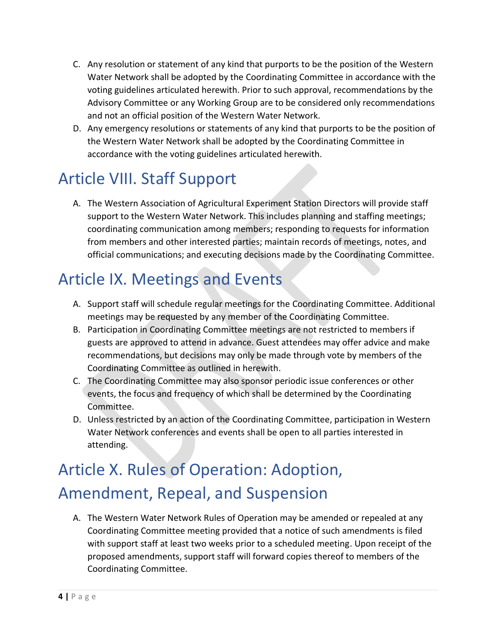- C. Any resolution or statement of any kind that purports to be the position of the Western Water Network shall be adopted by the Coordinating Committee in accordance with the voting guidelines articulated herewith. Prior to such approval, recommendations by the Advisory Committee or any Working Group are to be considered only recommendations and not an official position of the Western Water Network.
- D. Any emergency resolutions or statements of any kind that purports to be the position of the Western Water Network shall be adopted by the Coordinating Committee in accordance with the voting guidelines articulated herewith.

## Article VIII. Staff Support

A. The Western Association of Agricultural Experiment Station Directors will provide staff support to the Western Water Network. This includes planning and staffing meetings; coordinating communication among members; responding to requests for information from members and other interested parties; maintain records of meetings, notes, and official communications; and executing decisions made by the Coordinating Committee.

## Article IX. Meetings and Events

- A. Support staff will schedule regular meetings for the Coordinating Committee. Additional meetings may be requested by any member of the Coordinating Committee.
- B. Participation in Coordinating Committee meetings are not restricted to members if guests are approved to attend in advance. Guest attendees may offer advice and make recommendations, but decisions may only be made through vote by members of the Coordinating Committee as outlined in herewith.
- C. The Coordinating Committee may also sponsor periodic issue conferences or other events, the focus and frequency of which shall be determined by the Coordinating Committee.
- D. Unless restricted by an action of the Coordinating Committee, participation in Western Water Network conferences and events shall be open to all parties interested in attending.

# Article X. Rules of Operation: Adoption, Amendment, Repeal, and Suspension

A. The Western Water Network Rules of Operation may be amended or repealed at any Coordinating Committee meeting provided that a notice of such amendments is filed with support staff at least two weeks prior to a scheduled meeting. Upon receipt of the proposed amendments, support staff will forward copies thereof to members of the Coordinating Committee.